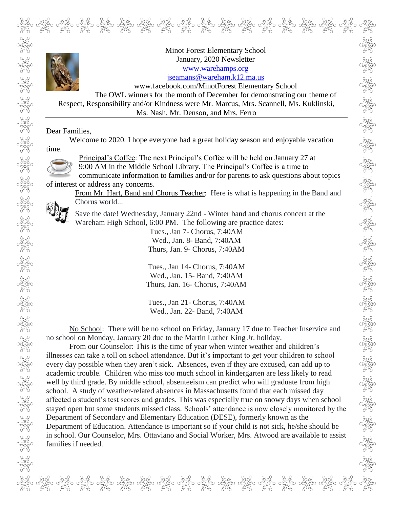

communicate information to families and/or for parents to ask questions about topics of interest or address any concerns.

From Mr. Hart, Band and Chorus Teacher: Here is what is happening in the Band and Chorus world...

Save the date! Wednesday, January 22nd - Winter band and chorus concert at the Wareham High School, 6:00 PM. The following are practice dates:

> Tues., Jan 7- Chorus, 7:40AM Wed., Jan. 8- Band, 7:40AM Thurs, Jan. 9- Chorus, 7:40AM

Tues., Jan 14- Chorus, 7:40AM Wed., Jan. 15- Band, 7:40AM Thurs, Jan. 16- Chorus, 7:40AM

Tues., Jan 21- Chorus, 7:40AM Wed., Jan. 22- Band, 7:40AM

No School: There will be no school on Friday, January 17 due to Teacher Inservice and no school on Monday, January 20 due to the Martin Luther King Jr. holiday.

From our Counselor: This is the time of year when winter weather and children's illnesses can take a toll on school attendance. But it's important to get your children to school every day possible when they aren't sick. Absences, even if they are excused, can add up to academic trouble. Children who miss too much school in kindergarten are less likely to read well by third grade. By middle school, absenteeism can predict who will graduate from high school. A study of weather-related absences in Massachusetts found that each missed day affected a student's test scores and grades. This was especially true on snowy days when school stayed open but some students missed class. Schools' attendance is now closely monitored by the Department of Secondary and Elementary Education (DESE), formerly known as the Department of Education. Attendance is important so if your child is not sick, he/she should be in school. Our Counselor, Mrs. Ottaviano and Social Worker, Mrs. Atwood are available to assist families if needed.

ל קיילה ליילה ליילה ליילה ליילה ליילה ליילה ליילה ליילה ליילה ליילה ליילה ליילה.<br>בכם סבלסיבים סבלסיבים סבלסיבים סבלסיבים סבלסיבים סבלסיבים סבלסיבים סבלסיבים הסבלסיבים סבלסיבים סבלסיבים.<br>לכם בליילה ליילה ליילה ליילה ליילה